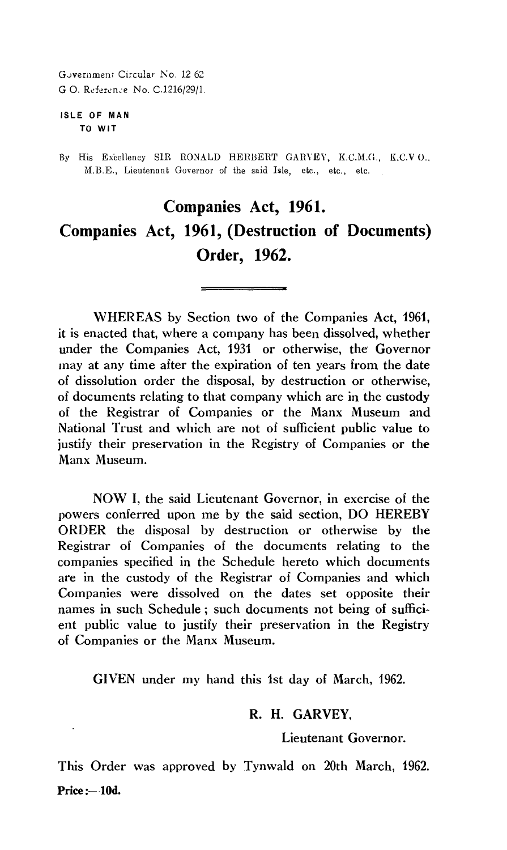GJvernrnent Circular No. 12 62 G 0. Referen:e No. C.1216/29/1.

### **ISLE OF MAN TO WIT**

By His Excellency SIR RONALD HERBERT GARVEY, K.C.M.G., K.C.VO., AI.B.E., Lieutenant Governor of the said Isle, etc., etc., etc.

# **Companies Act, 1961. Companies Act, 1961, (Destruction of Documents) Order, 1962.**

WHEREAS by Section two of the Companies Act, 1961, it is enacted that, where a company has been dissolved, whether under the Companies Act, 1931 or otherwise, the Governor may at any time after the expiration of ten years from the date of dissolution order the disposal, by destruction or otherwise, of documents relating to that company which are in the custody of the Registrar of Companies or the Manx Museum and National Trust and which are not of sufficient public value to justify their preservation in the Registry of Companies or the Manx Museum.

NOW I, the said Lieutenant Governor, in exercise of the powers conferred upon me by the said section, DO HEREBY ORDER the disposal by destruction or otherwise by the Registrar of Companies of the documents relating to the companies specified in the Schedule hereto which documents are in the custody of the Registrar of Companies and which Companies were dissolved on the dates set opposite their names in such Schedule ; such documents not being of sufficient public value to justify their preservation in the Registry of Companies or the Manx Museum.

GIVEN under my hand this 1st day of March, 1962.

## R. H. GARVEY,

Lieutenant Governor.

This Order was approved by Tynwald on 20th March, 1962. **Price :— 10d.**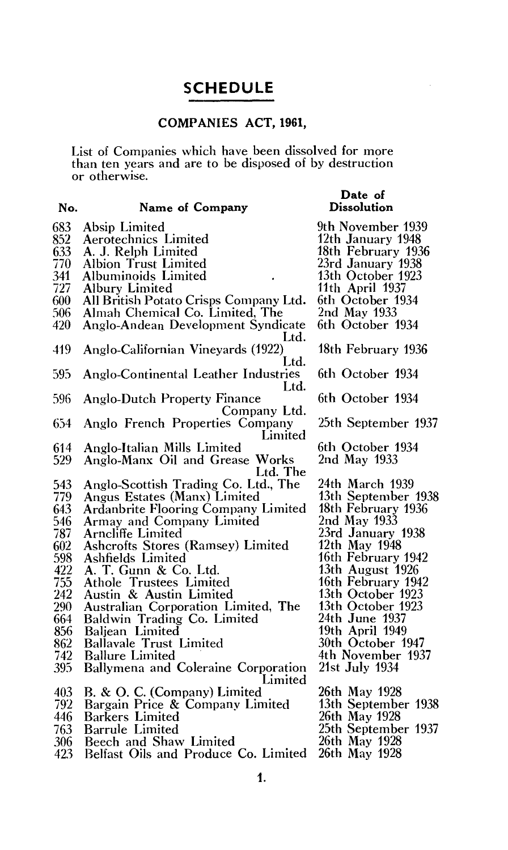## **SCHEDULE**

## **COMPANIES ACT, 1961,**

List of Companies which have been dissolved for more than ten years and are to be disposed of by destruction or otherwise.

| No.                                                                                                          | Name of Company                                                                                                                                                                                                                                                                                                                                                                                                                                                                                                             | Date of<br><b>Dissolution</b>                                                                                                                                                                                                                                                                                                 |
|--------------------------------------------------------------------------------------------------------------|-----------------------------------------------------------------------------------------------------------------------------------------------------------------------------------------------------------------------------------------------------------------------------------------------------------------------------------------------------------------------------------------------------------------------------------------------------------------------------------------------------------------------------|-------------------------------------------------------------------------------------------------------------------------------------------------------------------------------------------------------------------------------------------------------------------------------------------------------------------------------|
| 683<br>852<br>633<br>770<br>341<br>727<br>600                                                                | Absip Limited<br>Aerotechnics Limited<br>A. J. Relph Limited<br><b>Albion Trust Limited</b><br>Albuminoids Limited<br><b>Albury Limited</b><br>All British Potato Crisps Company Ltd.                                                                                                                                                                                                                                                                                                                                       | 9th November 1939<br>12th January 1948<br>18th February 1936<br>23rd January 1938<br>13th October 1923<br>11th April 1937<br>6th October 1934                                                                                                                                                                                 |
| 506<br>420                                                                                                   | Almah Chemical Co. Limited, The<br>Anglo-Andean Development Syndicate<br>Ltd.                                                                                                                                                                                                                                                                                                                                                                                                                                               | 2nd May 1933<br>6th October 1934                                                                                                                                                                                                                                                                                              |
| 419                                                                                                          | Anglo-Californian Vineyards (1922)<br>Ltd.                                                                                                                                                                                                                                                                                                                                                                                                                                                                                  | 18th February 1936                                                                                                                                                                                                                                                                                                            |
| 595                                                                                                          | Anglo-Continental Leather Industries<br>Ltd.                                                                                                                                                                                                                                                                                                                                                                                                                                                                                | 6th October 1934                                                                                                                                                                                                                                                                                                              |
| 596                                                                                                          | <b>Anglo-Dutch Property Finance</b><br>Company Ltd.                                                                                                                                                                                                                                                                                                                                                                                                                                                                         | 6th October 1934                                                                                                                                                                                                                                                                                                              |
| 654                                                                                                          | Anglo French Properties Company<br>Limited                                                                                                                                                                                                                                                                                                                                                                                                                                                                                  | 25th September 1937                                                                                                                                                                                                                                                                                                           |
| 614<br>529                                                                                                   | Anglo-Italian Mills Limited<br>Anglo-Manx Oil and Grease Works<br>Ltd. The                                                                                                                                                                                                                                                                                                                                                                                                                                                  | 6th October 1934<br>2nd May 1933                                                                                                                                                                                                                                                                                              |
| 543<br>779<br>643<br>546<br>787<br>602<br>598<br>422<br>755<br>242<br>290<br>664<br>856<br>862<br>742<br>395 | Anglo-Scottish Trading Co. Ltd., The<br>Angus Estates (Manx) Limited<br><b>Ardanbrite Flooring Company Limited</b><br>Armay and Company Limited<br>Arncliffe Limited<br>Ashcrofts Stores (Ramsey) Limited<br>Ashfields Limited<br>A. T. Gunn & Co. Ltd.<br><b>Athole Trustees Limited</b><br>Austin & Austin Limited<br>Australian Corporation Limited, The<br>Baldwin Trading Co. Limited<br>Baljean Limited<br><b>Ballavale Trust Limited</b><br><b>Ballure Limited</b><br>Ballymena and Coleraine Corporation<br>Limited | 24th March 1939<br>13th September 1938<br>18th February 1936<br>2nd May 1933<br>23rd January 1938<br>12th May 1948<br>16th February 1942<br>13th August 1926<br>16th February 1942<br>13th October 1923<br>13th October 1923<br>24th June 1937<br>19th April 1949<br>30th October 1947<br>4th November 1937<br>21st July 1934 |
| 403<br>792<br>446<br>763<br>306<br>423                                                                       | B. & O. C. (Company) Limited<br>Bargain Price & Company Limited<br><b>Barkers</b> Limited<br><b>Barrule Limited</b><br>Beech and Shaw Limited<br>Belfast Oils and Produce Co. Limited                                                                                                                                                                                                                                                                                                                                       | 26th May 1928<br>13th September 1938<br>26th May 1928<br>25th September 1937<br>26th May 1928<br>26th May 1928                                                                                                                                                                                                                |

423 Belfast Oils and Produce Co. Limited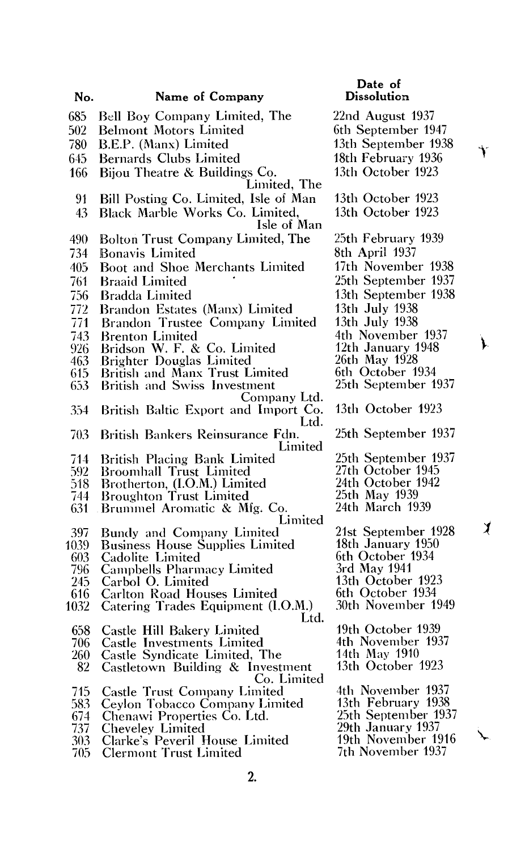| No.        | Name of Company                                 | Dissolution                               |
|------------|-------------------------------------------------|-------------------------------------------|
| 685        | Bell Boy Company Limited, The                   | 22nd August 1937                          |
| 502        | <b>Belmont Motors Limited</b>                   | 6th September 1947                        |
| 780        | B.E.P. (Manx) Limited                           | 13th September 1938                       |
| 645        | Bernards Clubs Limited                          | 18th February 1936                        |
| 166        | Bijou Theatre & Buildings Co.                   | 13th October 1923                         |
|            | Limited, The                                    |                                           |
| 91         | Bill Posting Co. Limited, Isle of Man           | 13th October 1923                         |
| 43         | Black Marble Works Co. Limited,                 | 13th October 1923                         |
|            | Isle of Man                                     |                                           |
| 490        | Bolton Trust Company Limited, The               | 25th February 1939                        |
| 734        | <b>Bonavis Limited</b>                          | 8th April 1937                            |
| 405        | Boot and Shoe Merchants Limited                 | 17th November 1938                        |
| 761        | <b>Braaid Limited</b>                           | 25th September 1937                       |
| 756        | <b>Bradda Limited</b>                           | 13th September 1938                       |
| 772        | Brandon Estates (Manx) Limited                  | 13th July 1938                            |
| 771        | Brandon Trustee Company Limited                 | 13th July 1938                            |
| 743        | <b>Brenton Limited</b>                          | 4th November 1937                         |
| 926        | Bridson W. F. & Co. Limited                     | 12th January 1948                         |
| 463        | <b>Brighter Douglas Limited</b>                 | 26th May 1928                             |
| 615        | British and Manx Trust Limited                  | 6th October 1934                          |
| 653        | <b>British and Swiss Investment</b>             | 25th September 1937                       |
|            | Company Ltd.                                    |                                           |
| 354        | British Baltic Export and Import Co.            | 13th October 1923                         |
| 703        | Ltd.<br>British Bankers Reinsurance Fdn.        | 25th September 1937                       |
|            | Limited                                         |                                           |
| 714        | British Placing Bank Limited                    | 25th September 1937                       |
| 592        | <b>Broomhall Trust Limited</b>                  | 27th October 1945                         |
| 518        | Brotherton, (I.O.M.) Limited                    | 24th October 1942                         |
| 744        | <b>Broughton Trust Limited</b>                  | 25th May 1939<br>24th March 1939          |
| 631        | Brummel Aromatic & Mfg. Co.<br>Limited          |                                           |
| 397        | Bundy and Company Limited                       | 21st September 1928                       |
| 1039       | <b>Business House Supplies Limited</b>          | 18th January 1950                         |
| 603        | Cadolite Limited                                | 6th October 1934                          |
| 796        | Campbells Pharmacy Limited                      | 3rd May 1941                              |
| 245        | Carbol O. Limited                               | 13th October 1923                         |
| 616        | Carlton Road Houses Limited                     | 6th October 1934                          |
| 1032       | Catering Trades Equipment (I.O.M.)<br>Ltd.      | 30th November 1949                        |
| 658        | Castle Hill Bakery Limited                      | 19th October 1939                         |
| 706        | Castle Investments Limited                      | 4th November 1937                         |
| 260        | Castle Syndicate Limited, The                   | 14th May 1910                             |
| 82         | Castletown Building & Investment                | 13th October 1923                         |
|            | Co. Limited                                     |                                           |
| 715        | Castle Trust Company Limited                    | 4th November 1937                         |
| 583        | Ceylon Tobacco Company Limited                  | 13th February 1938<br>25th September 1937 |
| 674<br>737 | Chenawi Properties Co. Ltd.<br>Cheveley Limited | 29th January 1937                         |
| 303        | Clarke's Peveril House Limited                  | 19th November 1916                        |
|            |                                                 |                                           |

**Date of** 

7th November 1937

 $\chi$ 

705 Clermont Trust Limited

**2.**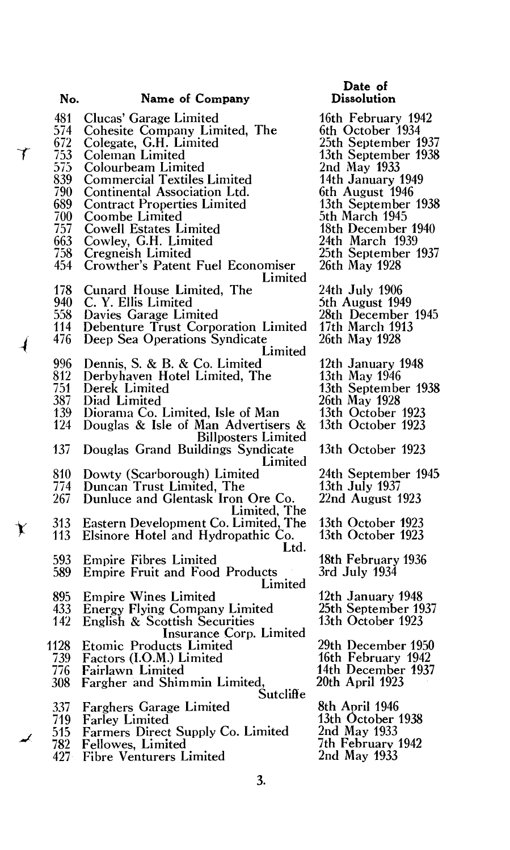|                            | No.                                                                                     | Name of Company                                                                                                                                                                                                                                                                                                                                                             | Date of<br><b>Dissolution</b>                                                                                                                                                                                                                                          |
|----------------------------|-----------------------------------------------------------------------------------------|-----------------------------------------------------------------------------------------------------------------------------------------------------------------------------------------------------------------------------------------------------------------------------------------------------------------------------------------------------------------------------|------------------------------------------------------------------------------------------------------------------------------------------------------------------------------------------------------------------------------------------------------------------------|
| $\boldsymbol{\mathcal{T}}$ | 481<br>574<br>672<br>753<br>575<br>839<br>790<br>689<br>700<br>757<br>663<br>758<br>454 | Clucas' Garage Limited<br>Cohesite Company Limited, The<br>Colegate, G.H. Limited<br>Coleman Limited<br>Colourbeam Limited<br><b>Commercial Textiles Limited</b><br>Continental Association Ltd.<br><b>Contract Properties Limited</b><br>Coombe Limited<br><b>Cowell Estates Limited</b><br>Cowley, G.H. Limited<br>Cregneish Limited<br>Crowther's Patent Fuel Economiser | 16th February 1942<br>6th October 1934<br>25th September 1937<br>13th September 1938<br>2nd May 1933<br>14th January 1949<br>6th August 1946<br>13th September 1938<br>5th March 1945<br>18th December 1940<br>24th March 1939<br>25th September 1937<br>26th May 1928 |
|                            | 178<br>940<br>558<br>114<br>476                                                         | Limited<br>Cunard House Limited, The<br>C. Y. Ellis Limited<br>Davies Garage Limited<br>Debenture Trust Corporation Limited<br>Deep Sea Operations Syndicate                                                                                                                                                                                                                | 24th July 1906<br>5th August 1949<br>28th December 1945<br>17th March 1913<br>26th May 1928                                                                                                                                                                            |
|                            | 996<br>812<br>751<br>387<br>139<br>124                                                  | Limited<br>Dennis, S. & B. & Co. Limited<br>Derbyhaven Hotel Limited, The<br>Derek Limited<br>Diad Limited<br>Diorama Co. Limited, Isle of Man<br>Douglas & Isle of Man Advertisers &                                                                                                                                                                                       | 12th January 1948<br>13th May 1946<br>13th September 1938<br>26th May 1928<br>13th October 1923<br>13th October 1923                                                                                                                                                   |
|                            | 137<br>810<br>774                                                                       | <b>Billposters Limited</b><br>Douglas Grand Buildings Syndicate<br>Limited<br>Dowty (Scarborough) Limited<br>Duncan Trust Limited, The                                                                                                                                                                                                                                      | 13th October 1923<br>24th September 1945<br>13th July 1937                                                                                                                                                                                                             |
| ŗ                          | 267<br>313<br>113                                                                       | Dunluce and Glentask Iron Ore Co.<br>Limited, The<br>Eastern Development Co. Limited, The<br>Elsinore Hotel and Hydropathic Co.                                                                                                                                                                                                                                             | 22nd August 1923<br>13th October 1923<br>13th October 1923                                                                                                                                                                                                             |
|                            | 593<br>589                                                                              | Ltd.<br><b>Empire Fibres Limited</b><br><b>Empire Fruit and Food Products</b><br>Limited                                                                                                                                                                                                                                                                                    | 18th February 1936<br>3rd July 1934                                                                                                                                                                                                                                    |
|                            | 895<br>433<br>142                                                                       | <b>Empire Wines Limited</b><br><b>Energy Flying Company Limited</b><br><b>English &amp; Scottish Securities</b>                                                                                                                                                                                                                                                             | 12th January 1948<br>25th September 1937<br>13th October 1923                                                                                                                                                                                                          |
|                            | 1128<br>739<br>776<br>308                                                               | Insurance Corp. Limited<br><b>Etomic Products Limited</b><br>Factors (I.O.M.) Limited<br>Fairlawn Limited<br>Fargher and Shimmin Limited,                                                                                                                                                                                                                                   | 29th December 1950<br>16th February 1942<br>14th December 1937<br>20th April 1923                                                                                                                                                                                      |
| J.                         | 337<br>719<br>515<br>782<br>427                                                         | Sutcliffe<br><b>Farghers Garage Limited</b><br><b>Farley Limited</b><br>Farmers Direct Supply Co. Limited<br>Fellowes, Limited<br><b>Fibre Venturers Limited</b>                                                                                                                                                                                                            | 8th April 1946<br>13th October 1938<br>2nd May 1933<br>7th February 1942<br>2nd May 1933                                                                                                                                                                               |

 $\dot{\mathbf{X}}$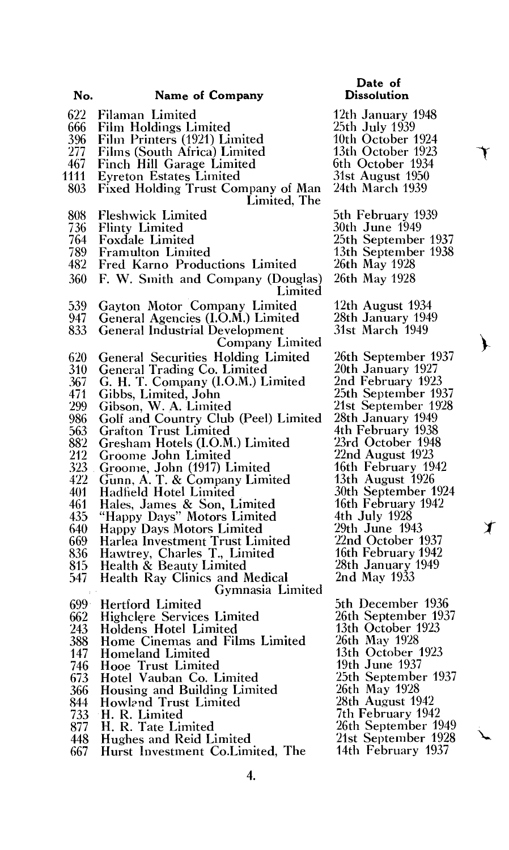| No.        | Name of Company                                              | <b>Dissolution</b>                     |
|------------|--------------------------------------------------------------|----------------------------------------|
| 622        | Filaman Limited                                              | 12th January 1948                      |
| 666        | Film Holdings Limited                                        | 25th July 1939                         |
| 396        | Film Printers (1921) Limited                                 | 10th October 1924                      |
| 277        | Films (South Africa) Limited                                 | 13th October 1923                      |
| 467        | Finch Hill Garage Limited                                    | 6th October 1934                       |
| 1111       | <b>Eyreton Estates Limited</b>                               | 31st August 1950                       |
| 803        | Fixed Holding Trust Company of Man                           | 24th March 1939                        |
|            | Limited, The                                                 |                                        |
| 808        | <b>Fleshwick Limited</b>                                     | 5th February 1939                      |
| 736        | <b>Flinty Limited</b>                                        | 30th June 1949                         |
| 764        | <b>Foxdale Limited</b>                                       | 25th September 1937                    |
| 789        | <b>Framulton Limited</b>                                     | 13th September 1938                    |
| 482        | Fred Karno Productions Limited                               | 26th May 1928                          |
| 360        | F. W. Smith and Company (Douglas)                            | 26th May 1928                          |
|            | Limited                                                      |                                        |
| 539        | Gayton Motor Company Limited                                 | 12th August 1934                       |
| 947        | General Agencies (I.O.M.) Limited                            | 28th January 1949                      |
| 833        | <b>General Industrial Development</b>                        | 31st March 1949                        |
|            | Company Limited                                              |                                        |
| 620        | <b>General Securities Holding Limited</b>                    | 26th September 1937                    |
| 310        | General Trading Co. Limited                                  | 20th January 1927                      |
| 367        | G. H. T. Company (I.O.M.) Limited                            | 2nd February 1923                      |
| 471        | Gibbs, Limited, John                                         | 25th September 1937                    |
| 299        | Gibson, W. A. Limited                                        | 21st September 1928                    |
| 986        | Golf and Country Club (Peel) Limited                         | 28th January 1949                      |
| 563        | <b>Grafton Trust Limited</b>                                 | 4th February 1938                      |
| 882        | Gresham Hotels (I.O.M.) Limited                              | 23rd October 1948                      |
| 212<br>323 | Groome John Limited                                          | 22nd August 1923<br>16th February 1942 |
| 422        | Groome, John (1917) Limited<br>Gunn, A. T. & Company Limited | 13th August 1926                       |
| 401        | <b>Hadfield Hotel Limited</b>                                | 30th September 1924                    |
| 461        | Hales, James & Son, Limited                                  | 16th February 1942                     |
| 435        | "Happy Days" Motors Limited                                  | 4th July 1928                          |
| 640        | <b>Happy Days Motors Limited</b>                             | 29th June 1943                         |
| 669        | Harlea Investment Trust Limited                              | 22nd October 1937                      |
| 836        | Hawtrey, Charles T., Limited                                 | 16th February 1942                     |
| 815        | Health & Beauty Limited                                      | 28th January 1949                      |
| 547        | Health Ray Clinics and Medical                               | 2nd May 1933                           |
|            | Gymnasia Limited                                             |                                        |
| $699 -$    | <b>Hertford Limited</b>                                      | 5th December 1936                      |
| 662        | <b>Highclere Services Limited</b>                            | 26th September 1937                    |
| 243        | Holdens Hotel Limited                                        | 13th October 1923                      |
| 388        | Home Cinemas and Films Limited                               | 26th May 1928                          |
| 147        | <b>Homeland Limited</b>                                      | 13th October 1923                      |
| 746        | Hooe Trust Limited                                           | 19th June 1937                         |
| 673        | Hotel Vauban Co. Limited                                     | 25th September 1937<br>26th May 1928   |
| 366        | Housing and Building Limited                                 | 28th August 1942                       |
| 844<br>733 | Howland Trust Limited                                        | 7th February 1942                      |
| 877        | H. R. Limited<br>H. R. Tate Limited                          | 26th September 1949                    |
| 448        | Hughes and Reid Limited                                      | 21st September 1928                    |
| 667        | Hurst Investment Co.Limited, The                             | 14th February 1937                     |
|            |                                                              |                                        |

**Date of** 

T

 $\bigstar$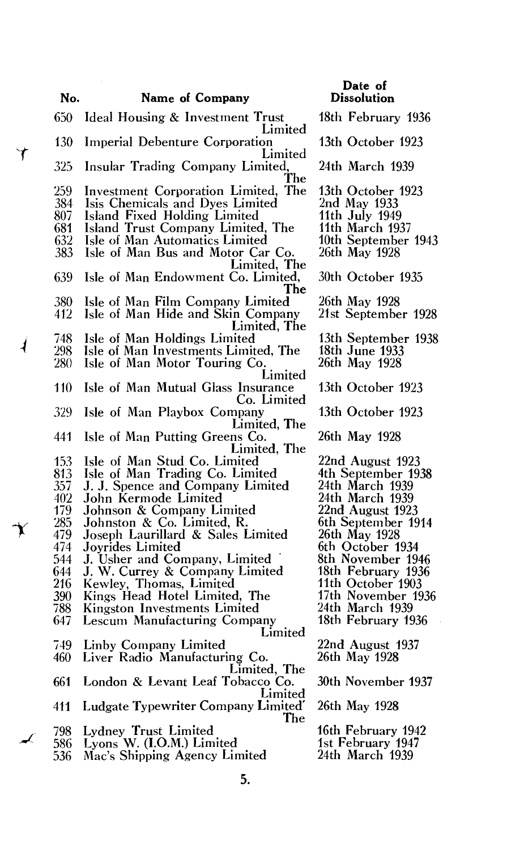|   | No.        | Name of Company                                                        | Date of<br><b>Dissolution</b>     |
|---|------------|------------------------------------------------------------------------|-----------------------------------|
|   | 650        | Ideal Housing & Investment Trust<br>Limited                            | 18th February 1936                |
| T | 130        | <b>Imperial Debenture Corporation</b><br>Limited                       | 13th October 1923                 |
|   | 325        | Insular Trading Company Limited,<br>The                                | 24th March 1939                   |
|   | 259<br>384 | Investment Corporation Limited, The<br>Isis Chemicals and Dyes Limited | 13th October 1923<br>2nd May 1933 |
|   | 807        | <b>Island Fixed Holding Limited</b>                                    | 11th July 1949                    |
|   | 681        | Island Trust Company Limited, The                                      | 11th March 1937                   |
|   | 632        | Isle of Man Automatics Limited                                         | 10th September 1943               |
|   | 383        | Isle of Man Bus and Motor Car Co.<br>Limited, The                      | 26th May 1928                     |
|   | 639        | Isle of Man Endowment Co. Limited,<br>The                              | 30th October 1935                 |
|   | 380        | Isle of Man Film Company Limited                                       | 26th May 1928                     |
|   | 412        | Isle of Man Hide and Skin Company<br>Limited, The                      | 21st September 1928               |
|   | 748        | Isle of Man Holdings Limited                                           | 13th September 1938               |
| 1 | 298        | Isle of Man Investments Limited, The                                   | 18th June 1933                    |
|   | 280        | Isle of Man Motor Touring Co.<br>Limited                               | 26th May 1928                     |
|   | 110        | Isle of Man Mutual Glass Insurance<br>Co. Limited                      | 13th October 1923                 |
|   | 329        | Isle of Man Playbox Company<br>Limited, The                            | 13th October 1923                 |
|   | 441        | Isle of Man Putting Greens Co.<br>Limited, The                         | 26th May 1928                     |
|   | 153        | Isle of Man Stud Co. Limited                                           | 22nd August 1923                  |
|   | 813        | Isle of Man Trading Co. Limited                                        | 4th September 1938                |
|   | 357        | J. J. Spence and Company Limited                                       | 24th March 1939                   |
|   | 402        | John Kermode Limited                                                   | 24th March 1939                   |
|   | 179        | Johnson & Company Limited                                              | 22nd August 1923                  |
|   | 285        | Johnston & Co. Limited, R.                                             | 6th September 1914                |
|   | 479        | Joseph Laurillard & Sales Limited                                      | 26th May 1928                     |
|   | 474        | Joyrides Limited                                                       | 6th October 1934                  |
|   | 544        | J. Usher and Company, Limited                                          | 8th November 1946                 |
|   | 644        | J. W. Currey & Company Limited                                         | 18th February 1936                |
|   | 216        | Kewley, Thomas, Limited                                                | 11th October 1903                 |
|   | 390        | Kings Head Hotel Limited, The                                          | 17th November 1936                |
|   | 788        | Kingston Investments Limited                                           | 24th March 1939                   |
|   | 647        | <b>Lescum Manufacturing Company</b><br>Limited                         | 18th February 1936                |
|   | 749        | Linby Company Limited                                                  | 22nd August 1937                  |
|   | 460        | Liver Radio Manufacturing Co.<br>Limited, The                          | 26th May 1928                     |
|   | 661        | London & Levant Leaf Tobacco Co.<br>Limited                            | 30th November 1937                |
|   | 411        | Ludgate Typewriter Company Limited'<br>The                             | 26th May 1928                     |
|   | 798        | Lydney Trust Limited                                                   | 16th February 1942                |
| L | 586        | Lyons W. (I.O.M.) Limited                                              | 1st February 1947                 |
|   | 536        | Mac's Shipping Agency Limited                                          | 24th March 1939                   |

丁

 $\boldsymbol{\lambda}$ 

Y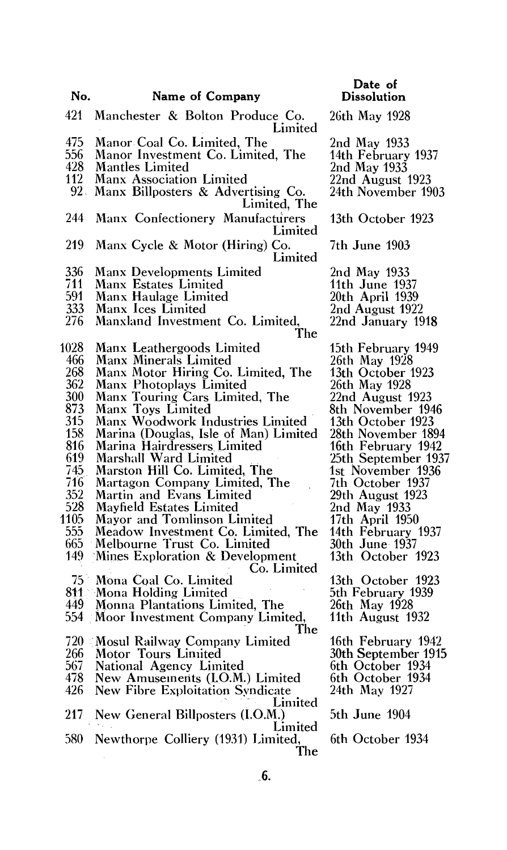| No.          | Name of Company                                    | Date of<br><b>Dissolution</b> |
|--------------|----------------------------------------------------|-------------------------------|
|              |                                                    |                               |
| 421          | Manchester & Bolton Produce Co.<br>Limited         | 26th May 1928                 |
| 475          | Manor Coal Co. Limited, The                        | 2nd May 1933                  |
| 556          | Manor Investment Co. Limited, The                  | 14th February 1937            |
| 428          | <b>Mantles</b> Limited                             | 2nd May 1933                  |
| 112          | <b>Manx Association Limited</b>                    | 22nd August 1923              |
| 92.          | Manx Billposters & Advertising Co.<br>Limited, The | 24th November 1903            |
| 244          | Manx Confectionery Manufacturers<br>Limited        | 13th October 1923             |
| 219          | Manx Cycle & Motor (Hiring) Co.<br>Limited         | 7th June 1903                 |
| 336          | <b>Manx Developments Limited</b>                   | 2nd May 1933                  |
| 711          | Manx Estates Limited                               | 11th June 1937                |
| 591          | Manx Haulage Limited                               | 20th April 1939               |
| 333          | Manx Ices Limited                                  | 2nd August 1922               |
| 276          | Manxland Investment Co. Limited,                   | 22nd January 1918             |
|              | The                                                |                               |
| 1028         | Manx Leathergoods Limited                          | 15th February 1949            |
| 466          | Manx Minerals Limited                              | 26th May 1928                 |
| 268          | Manx Motor Hiring Co. Limited, The                 | 13th October 1923             |
| 362          | Manx Photoplays Limited                            | 26th May 1928                 |
| 300          | Manx Touring Cars Limited, The                     | 22nd August 1923              |
| 873          | Manx Toys Limited                                  | 8th November 1946             |
| 315          | Manx Woodwork Industries Limited                   | 13th October 1923             |
| 158          | Marina (Douglas, Isle of Man) Limited              | 28th November 1894            |
| 816          | Marina Hairdressers Limited                        | 16th February 1942            |
| 619          | Marshall Ward Limited                              | 25th September 1937           |
| 745          | Marston Hill Co. Limited, The                      | 1st November 1936             |
| 716          | Martagon Company Limited, The                      | 7th October 1937              |
| 352          | Martin and Evans Limited                           | 29th August 1923              |
| 528          | Mayfield Estates Limited                           | 2nd May 1933                  |
| 1105         | Mayor and Tomlinson Limited                        | 17th April 1950               |
| 555          | Meadow Investment Co. Limited, The                 | 14th February 1937            |
| 665          | Melbourne Trust Co. Limited                        | 30th June 1937                |
| 149          | Mines Exploration & Development<br>Co. Limited     | 13th October 1923             |
| $75^{\circ}$ | Mona Coal Co. Limited                              | 13th October 1923             |
|              | 811 Mona Holding Limited                           | 5th February 1939             |
| 449          | Monna Plantations Limited, The                     | 26th May 1928                 |
|              | 554 Moor Investment Company Limited,<br>The        | 11th August 1932              |
| 720          | Mosul Railway Company Limited                      | 16th February 1942            |
| 266          | Motor Tours Limited                                | 30th September 1915           |
| 567          | National Agency Limited                            | 6th October 1934              |
| 478          | New Amusements (I.O.M.) Limited                    | 6th October 1934              |
| 426          | <b>New Fibre Exploitation Syndicate</b><br>Linited | 24th May 1927                 |
| 217          | New General Billposters (I.O.M.)<br>Limited        | 5th June 1904                 |
| 580          | Newthorpe Colliery (1931) Limited,                 | 6th October 1934              |

**6.** 

The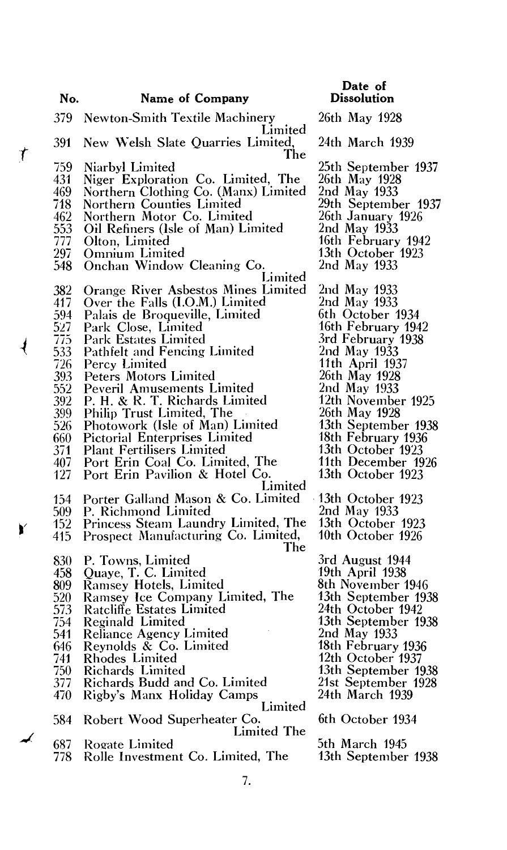|   | No.        | Name of Company                                                   | Dis                      |
|---|------------|-------------------------------------------------------------------|--------------------------|
|   | 379        | <b>Newton-Smith Textile Machinery</b>                             | 26th                     |
| Ţ | 391        | Limited<br>New Welsh Slate Quarries Limited,<br>The               | 24th                     |
|   | 759        | Niarbyl Limited                                                   | 25th                     |
|   | 431        | Niger Exploration Co. Limited, The                                | 26th<br>2nd              |
|   | 469<br>718 | Northern Clothing Co. (Manx) Limited<br>Northern Counties Limited | 29th                     |
|   | 462        | Northern Motor Co. Limited                                        | 26 <sub>th</sub>         |
|   | 553        | Oil Refiners (Isle of Man) Limited                                | $2\mathrm{nd}$ .         |
|   | 777        | Olton, Limited                                                    | 16th                     |
|   | 297        | Omnium Limited                                                    | 13 <sub>th</sub>         |
|   | 548        | Onchan Window Cleaning Co.                                        | 2nd                      |
|   |            | Limited                                                           |                          |
|   | 382        | Orange River Asbestos Mines Limited                               | 2nd .<br>$2nd$ .         |
|   | 417<br>594 | Over the Falls (I.O.M.) Limited<br>Palais de Broqueville, Limited | 6th (                    |
|   | 527        | Park Close, Limited                                               | 16th                     |
|   | 775        | Park Estates Limited                                              | 3rd I                    |
|   | 533        | <b>Pathfelt and Fencing Limited</b>                               | $2$ nd .                 |
|   | 726        | Percy Limited                                                     | 11 <sub>th</sub>         |
|   | 393        | <b>Peters Motors Limited</b>                                      | 26th                     |
|   | 552        | Peveril Amusements Limited                                        | $2nd$ .                  |
|   | 392        | P. H. & R. T. Richards Limited                                    | 12 <sub>th</sub><br>26th |
|   | 399<br>526 | Philip Trust Limited, The<br>Photowork (Isle of Man) Limited      | 13th                     |
|   | 660        | <b>Pictorial Enterprises Limited</b>                              | 18th                     |
|   | 371        | <b>Plant Fertilisers Limited</b>                                  | 13 <sub>th</sub>         |
|   | 407        | Port Erin Coal Co. Limited, The                                   | 11th                     |
|   | 127        | Port Erin Pavilion & Hotel Co.                                    | 13th                     |
|   |            | Limited                                                           |                          |
|   | 154<br>509 | Porter Galland Mason & Co. Limited<br>P. Richmond Limited         | ∙13th<br>2nd             |
|   | 152        | Princess Steam Laundry Limited, The                               | 13 <sub>th</sub>         |
| ¥ | 415        | Prospect Manufacturing Co. Limited,                               | 10th                     |
|   |            | The                                                               |                          |
|   | 830        | P. Towns, Limited                                                 | $3rd \nmid$              |
|   | 458        | Quaye, T. C. Limited                                              | 19th                     |
|   | 809        | Ramsey Hotels, Limited                                            | 8th N                    |
|   | 520<br>573 | Ramsey Ice Company Limited, The                                   | 13th<br>24th             |
|   | 754        | Ratcliffe Estates Limited<br>Reginald Limited                     | 13 <sub>th</sub>         |
|   | 541        | Reliance Agency Limited                                           | $2nd$ i                  |
|   | 646        | Reynolds & Co. Limited                                            | 18th                     |
|   | 741        | Rhodes Limited                                                    | 12 <sub>th</sub>         |
|   | 750        | Richards Limited                                                  | 13th                     |
|   | 377        | Richards Budd and Co. Limited                                     | 21st                     |
|   | 470        | Rigby's Manx Holiday Camps<br>Limited                             | 24th                     |
|   | 584        | Robert Wood Superheater Co.                                       | 6th (                    |
|   |            | <b>Limited The</b>                                                |                          |
| ✔ | 687        | <b>Rogate Limited</b>                                             | 5th N                    |
|   | 778        | Rolle Investment Co. Limited, The                                 | 13 <sub>th</sub>         |

#### **Date of Dissolution**

May 1928

March 1939

- September 1937
- 26th May 1928
- 2nd May 1933
- September 1937
- 26th January 1926
- 2nd May 1933
- February 1942
- October<sup>1923</sup>
- May 1933
- 2nd May 1933
	- 2nd May 1933
	- October 1934
	- 16th February 1942
	- 3rd February 1938
	- 2nd May 1933
	- 11th April 1937 May 1928
	- May 1933
	-
	- November 1925 May 1928
		-
	- 13th September 1938 18th February 1936
	- 13th October 1923
	- December 1926
	- October 1923
	- October 1923
	- May 1933
	- October 1923
	- October 1926
		- August 1944
	- 19th April 1938
	- 8th November 1946
	- September 1938
	- October 1942
	- September 1938
	- May 1933
	- 18th February 1936
	- 12th October 1937
	- September 1938
	- September 1928 March 1939
	-

## October 1934

5th March 1945 September 1938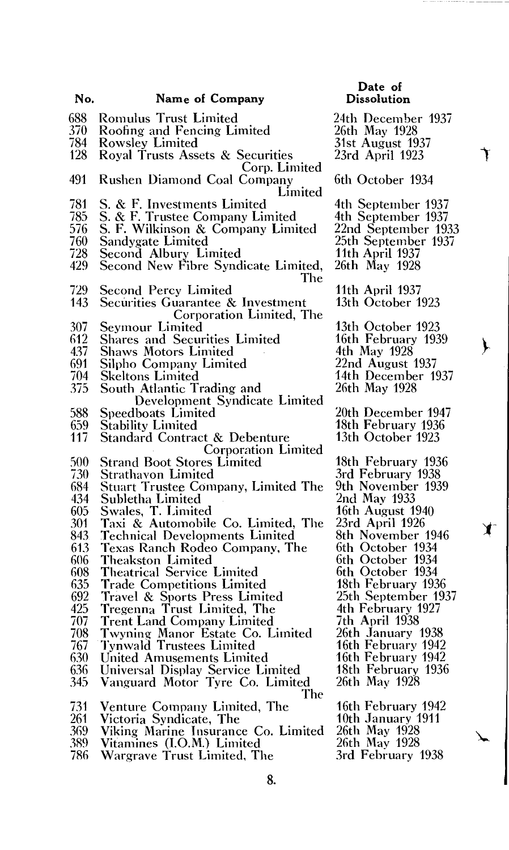- 688 Romulus Trust Limited
- 370 Roofing and Fencing Limited
- 784 Rowsley Limited
- Royal Trusts Assets & Securities Corp. Limited
- 491 Rushen Diamond Coal Company Limited
- 781 S. & **F.** Investments Limited
- 785 S. & F. Trustee Company Limited
- 576 S. F. Wilkinson & Company Limited
- 760 Sandygate Limited
- 728 Second Albury Limited

#### Second New Fibre Syndicate Limited, The

- 729 Second Percy Limited
- Securities Guarantee & Investment Corporation Limited, The
- 307 Seymour Limited
- 612 Shares and Securities Limited
- 437 Shaws Motors Limited
- 691 Silpho Company Limited<br>704 Skeltons Limited
- 704 Skeltons Limited
- South Atlantic Trading and
	- Development Syndicate Limited
- 588 Speedboats Limited
- 659 Stability Limited<br>117 Standard Contra
- **Standard Contract & Debenture** Corporation Limited
- 500 Strand Boot Stores Limited<br>730 Strathavon Limited
- 730 Strathavon Limited
- 684 Stuart Trustee Company, Limited The<br>434 Subletha Limited
- 434 Subletha Limited
- 605 Swales, T. Limited
- 301 Taxi & Automobile Co. Limited, The
- 843 Technical Developments Limited<br>613 Texas Ranch Rodeo Company, Tl
- 613 Texas Ranch Rodeo Company, The
- 606 Theakston Limited
- 608 Theatrical Service Limited
- 
- 635 Trade Competitions Limited 692 Travel & Sports Press Limited
- 425 Tregenna Trust Limited, The
- 
- 707 Trent Land Company Limited 708 Twyning Manor Estate Co. Limited
- 767 Tynwald Trustees Limited
- 
- 630 United Amusements Limited 636 Universal Display Service Limited
- 345 Vanguard Motor Tyre Co. Limited

The

- 731 Venture Company Limited, The
- 261 Victoria Syndicate, The
- 369 Viking Marine Insurance Co. Limited
- 389 Vitamines (I.O.M.) Limited
- 786 Wargrave Trust Limited, The

## **Date of Dissolution**

24th December 1937 26th May 1928 31st August 1937 23rd April 1923

#### 6th October 1934

4th September 1937 4th September 1937 22nd September 1933 25th September 1937 11th April 1937 26th May 1928

11th April 1937 13th October 1923

- 13th October 1923 16th February 1939
- 4th May 1928 22nd August 1937
- 14th December 1937

26th May 1928

20th December 1947 18th February 1936 13th October 1923

18th February 1936 3rd February 1938 9th November 1939 2nd May 1933 16th August 1940 23rd April 1926 8th November 1946 6th October 1934 6th October 1934 6th October 1934 18th February 1936 25th September 1937 4th February 1927 7th April 1938 26th January 1938 16th February 1942 16th February 1942 18th February 1936 26th May 1928

Y

16th February 1942 10th January 1911 26th May 1928 26th May 1928 3rd February 1938